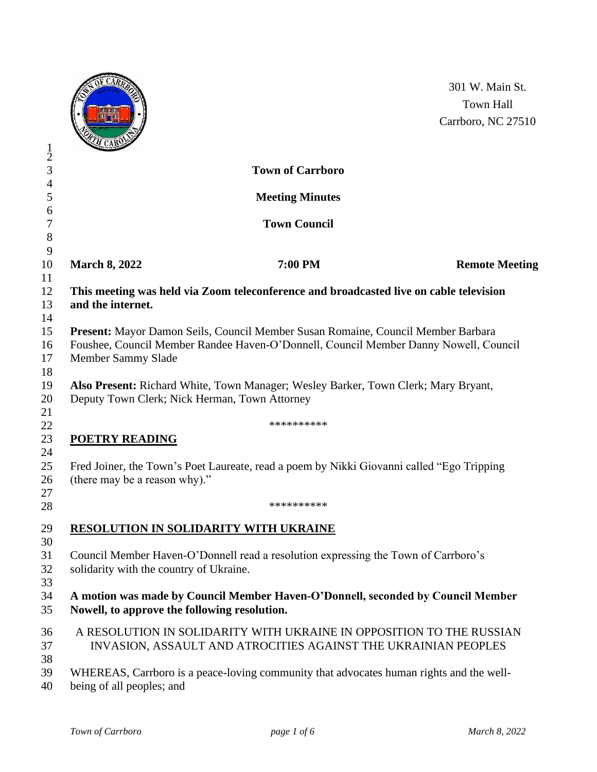|                                                                                                                                           | <b>LEASE STATE</b><br><b>TEMP TEM</b><br>H CAR |                                                                                                                                                                          | 301 W. Main St.<br><b>Town Hall</b><br>Carrboro, NC 27510 |
|-------------------------------------------------------------------------------------------------------------------------------------------|------------------------------------------------|--------------------------------------------------------------------------------------------------------------------------------------------------------------------------|-----------------------------------------------------------|
| $\frac{1}{2}$                                                                                                                             |                                                | <b>Town of Carrboro</b>                                                                                                                                                  |                                                           |
| $\overline{\mathcal{L}}$<br>5                                                                                                             |                                                | <b>Meeting Minutes</b>                                                                                                                                                   |                                                           |
| 6<br>7<br>8                                                                                                                               |                                                | <b>Town Council</b>                                                                                                                                                      |                                                           |
| 9<br>10                                                                                                                                   | <b>March 8, 2022</b>                           | 7:00 PM                                                                                                                                                                  | <b>Remote Meeting</b>                                     |
| 11<br>12<br>13                                                                                                                            | and the internet.                              | This meeting was held via Zoom teleconference and broadcasted live on cable television                                                                                   |                                                           |
| 14<br>15<br>16<br>17<br>18                                                                                                                | Member Sammy Slade                             | Present: Mayor Damon Seils, Council Member Susan Romaine, Council Member Barbara<br>Foushee, Council Member Randee Haven-O'Donnell, Council Member Danny Nowell, Council |                                                           |
| 19<br>20                                                                                                                                  | Deputy Town Clerk; Nick Herman, Town Attorney  | Also Present: Richard White, Town Manager; Wesley Barker, Town Clerk; Mary Bryant,                                                                                       |                                                           |
| 21<br>22                                                                                                                                  |                                                | **********                                                                                                                                                               |                                                           |
| 23                                                                                                                                        | <b>POETRY READING</b>                          |                                                                                                                                                                          |                                                           |
| 24<br>25<br>26                                                                                                                            | (there may be a reason why)."                  | Fred Joiner, the Town's Poet Laureate, read a poem by Nikki Giovanni called "Ego Tripping"                                                                               |                                                           |
| 27<br>28                                                                                                                                  |                                                | **********                                                                                                                                                               |                                                           |
| 29<br>30                                                                                                                                  | <b>RESOLUTION IN SOLIDARITY WITH UKRAINE</b>   |                                                                                                                                                                          |                                                           |
| 31<br>Council Member Haven-O'Donnell read a resolution expressing the Town of Carrboro's<br>32<br>solidarity with the country of Ukraine. |                                                |                                                                                                                                                                          |                                                           |
| 33<br>34<br>35                                                                                                                            | Nowell, to approve the following resolution.   | A motion was made by Council Member Haven-O'Donnell, seconded by Council Member                                                                                          |                                                           |
| 36<br>37                                                                                                                                  |                                                | A RESOLUTION IN SOLIDARITY WITH UKRAINE IN OPPOSITION TO THE RUSSIAN<br>INVASION, ASSAULT AND ATROCITIES AGAINST THE UKRAINIAN PEOPLES                                   |                                                           |
| 38<br>39<br>40                                                                                                                            | being of all peoples; and                      | WHEREAS, Carrboro is a peace-loving community that advocates human rights and the well-                                                                                  |                                                           |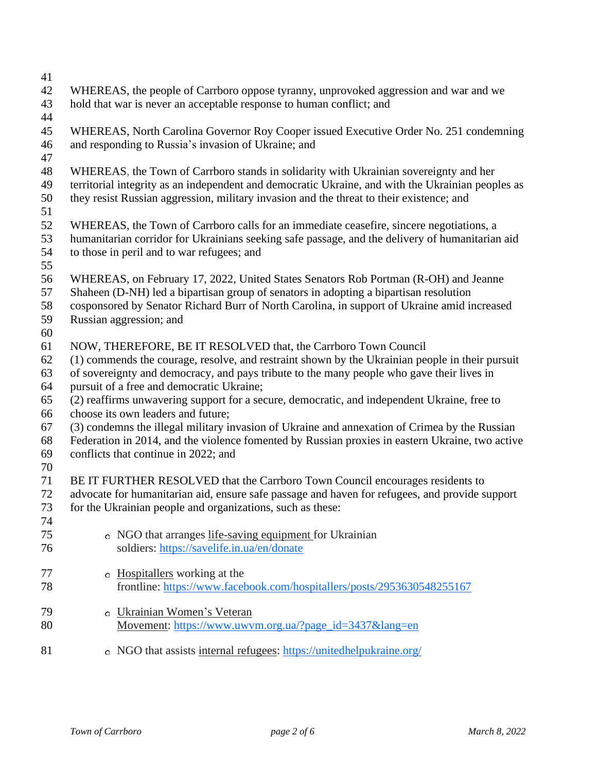- 
- WHEREAS, the people of Carrboro oppose tyranny, unprovoked aggression and war and we hold that war is never an acceptable response to human conflict; and
- 
- WHEREAS, North Carolina Governor Roy Cooper issued Executive Order No. 251 condemning and responding to Russia's invasion of Ukraine; and
- 
- WHEREAS, the Town of Carrboro stands in solidarity with Ukrainian sovereignty and her
- territorial integrity as an independent and democratic Ukraine, and with the Ukrainian peoples as
- they resist Russian aggression, military invasion and the threat to their existence; and
- 
- WHEREAS, the Town of Carrboro calls for an immediate ceasefire, sincere negotiations, a
- humanitarian corridor for Ukrainians seeking safe passage, and the delivery of humanitarian aid to those in peril and to war refugees; and
- 
- WHEREAS, on February 17, 2022, United States Senators Rob Portman (R-OH) and Jeanne
- Shaheen (D-NH) led a bipartisan group of senators in adopting a bipartisan [resolution](https://www.shaheen.senate.gov/imo/media/doc/DAV22134.pdf)
- cosponsored by Senator Richard Burr of North Carolina, in support of Ukraine amid increased
- Russian aggression; and
- 
- NOW, THEREFORE, BE IT RESOLVED that, the Carrboro Town Council
- (1) commends the courage, resolve, and restraint shown by the Ukrainian people in their pursuit
- of sovereignty and democracy, and pays tribute to the many people who gave their lives in pursuit of a free and democratic Ukraine;
- - (2) reaffirms unwavering support for a secure, democratic, and independent Ukraine, free to choose its own leaders and future;
- (3) condemns the illegal military invasion of Ukraine and annexation of Crimea by the Russian
- Federation in 2014, and the violence fomented by Russian proxies in eastern Ukraine, two active conflicts that continue in 2022; and
- 
- BE IT FURTHER RESOLVED that the Carrboro Town Council encourages residents to
- advocate for humanitarian aid, ensure safe passage and haven for refugees, and provide support
- for the Ukrainian people and organizations, such as these:
- NGO that arranges [life-saving](https://email.mg1.substack.com/c/eJwlUEtuxCAUO82wRHySQBYsKlU9QC8QkeDMoEkg4jNtbl_SkSwvnt-T7bfYgntMpzliLuSiqZwHTMBP3lAKEqkZafLOCMZ1P3LiDFNiUTPxeVoTsFu_GXLUefOLLT6Ga1lypkdFHqaTCqMTUmiJFUqvHD2Ydv3ClBM93p62Oo-wwOCFdMYAsplHKUe-yY-b-GrI9oXNr6A-0GrbAKGRi6EVIL6FExd6xphmmgo6WGbVIJmd-3UeZkkLnr-6YLx1bL9zmuuci12edIk7Sebz-xEdchPzy1K4ehWamrbX4Ms5Idh5gzMlVZDy_tZ_8-mOgNRCuMkWw4euV50aRt5x8a7WntGNYpAdH0gzdbFdBZPD6ZD-AMPtf20) equipment for Ukrainian soldiers: <https://savelife.in.ua/en/donate> **hospitallers** working at the frontline: <https://www.facebook.com/hospitallers/posts/2953630548255167> [Ukrainian](https://email.mg1.substack.com/c/eJwlUEmOhDAMfA05RtlI4JDDSK1-wHwAZTE0GkhQlmb4_YRpqWTJLlvlKmcKLDFd-oi5oLtM5TpABzjzBqVAQjVDmlavGaFDP1LkNVHMKYvWPM0JYDfrptFR7bY6U9YY7mVOyTAq9NJWqNkDpcJZN_BhdrP1XEAv1Ai-J_yjaapfITjQ8IZ0xQBo069Sjtzxr449G87zxPV87zimBVdzD_nzMAs0tY4_uOCqY3IzYWkdBLS2f9mNnhAykAEzLA0xSnJibD9baTku8PM7FBg7QfaF4lxtLsb9YBd3lPTj-xU95Ebmt8Hg6-1xatxew1quCYKxG3hdUgVUPgH-hzEtECC1YP1kiqZS9EooOVJB2cdty0eMTHJBJWqiPraroHO4PKQ_LZqE_g) Women's Veteran [Movement:](https://email.mg1.substack.com/c/eJwlUEmOhDAMfA05RtlI4JDDSK1-wHwAZTE0GkhQlmb4_YRpqWTJLlvlKmcKLDFd-oi5oLtM5TpABzjzBqVAQjVDmlavGaFDP1LkNVHMKYvWPM0JYDfrptFR7bY6U9YY7mVOyTAq9NJWqNkDpcJZN_BhdrP1XEAv1Ai-J_yjaapfITjQ8IZ0xQBo069Sjtzxr449G87zxPV87zimBVdzD_nzMAs0tY4_uOCqY3IzYWkdBLS2f9mNnhAykAEzLA0xSnJibD9baTku8PM7FBg7QfaF4lxtLsb9YBd3lPTj-xU95Ebmt8Hg6-1xatxew1quCYKxG3hdUgVUPgH-hzEtECC1YP1kiqZS9EooOVJB2cdty0eMTHJBJWqiPraroHO4PKQ_LZqE_g) [https://www.uwvm.org.ua/?page\\_id=3437&lang=en](https://www.uwvm.org.ua/?page_id=3437&lang=en) NGO that assists internal [refugees:](https://email.mg1.substack.com/c/eJwlkEFuxCAMRU8zLCMgBMKCRaWqB-gFIgieBE0CEZhpc_uSRrK88Lf1_f5sEZaUT3OkguRqE54HmAg_ZQNEyKQWyFPwhlM2DpoRb6jis3IklOmZAXYbNkOO6rYwWwwpXss9o6NWZDUgxSA1t0ow5rXSWj-Be8Wk4Kqn4G5PW32AOIOBN-QzRSCbWRGP8ug_HvyrVY0Bwa-wHfWVbYjQpby0OQntMX7VQCkd6djxTlpqleypdcPTSdd3CK_fEUE_BN0X1pXqCtr51c1pJ9l8fq_JQ2liedsOfL1gpqbtl-k5QbRuA28wVyB4J_VPPS0QIbcE_WTRNKRBCSU1E4zfWC0IobnsBZOkmfrUrqIp8fSQ_wCMzH4H) <https://unitedhelpukraine.org/>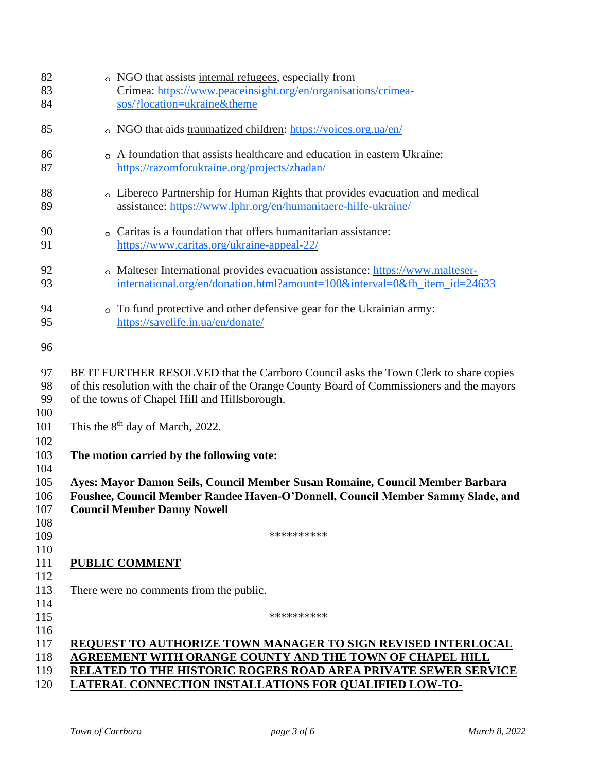| 82<br>83<br>84                  | • NGO that assists internal refugees, especially from<br>Crimea: https://www.peaceinsight.org/en/organisations/crimea-<br>sos/?location=ukraine&theme                                                                                                       |
|---------------------------------|-------------------------------------------------------------------------------------------------------------------------------------------------------------------------------------------------------------------------------------------------------------|
| 85                              | o NGO that aids traumatized children: https://voices.org.ua/en/                                                                                                                                                                                             |
| 86<br>87                        | • A foundation that assists healthcare and education in eastern Ukraine:<br>https://razomforukraine.org/projects/zhadan/                                                                                                                                    |
| 88<br>89                        | o Libereco Partnership for Human Rights that provides evacuation and medical<br>assistance: https://www.lphr.org/en/humanitaere-hilfe-ukraine/                                                                                                              |
| 90<br>91                        | o Caritas is a foundation that offers humanitarian assistance:<br>https://www.caritas.org/ukraine-appeal-22/                                                                                                                                                |
| 92<br>93                        | o Malteser International provides evacuation assistance: https://www.malteser-<br>international.org/en/donation.html?amount=100&interval=0&fb_item_id=24633                                                                                                 |
| 94<br>95                        | • To fund protective and other defensive gear for the Ukrainian army:<br>https://savelife.in.ua/en/donate/                                                                                                                                                  |
| 96                              |                                                                                                                                                                                                                                                             |
| 97<br>98<br>99                  | BE IT FURTHER RESOLVED that the Carrboro Council asks the Town Clerk to share copies<br>of this resolution with the chair of the Orange County Board of Commissioners and the mayors<br>of the towns of Chapel Hill and Hillsborough.                       |
| 100<br>101<br>102               | This the $8th$ day of March, 2022.                                                                                                                                                                                                                          |
| 103                             | The motion carried by the following vote:                                                                                                                                                                                                                   |
| 104<br>105<br>106<br>107<br>108 | Ayes: Mayor Damon Seils, Council Member Susan Romaine, Council Member Barbara<br>Foushee, Council Member Randee Haven-O'Donnell, Council Member Sammy Slade, and<br><b>Council Member Danny Nowell</b>                                                      |
| 109                             | **********                                                                                                                                                                                                                                                  |
| 110<br>111<br>112               | <b>PUBLIC COMMENT</b>                                                                                                                                                                                                                                       |
| 113                             | There were no comments from the public.                                                                                                                                                                                                                     |
| 114<br>115                      | **********                                                                                                                                                                                                                                                  |
| 116<br>117<br>118<br>119<br>120 | <b>REQUEST TO AUTHORIZE TOWN MANAGER TO SIGN REVISED INTERLOCAL</b><br>AGREEMENT WITH ORANGE COUNTY AND THE TOWN OF CHAPEL HILL<br>RELATED TO THE HISTORIC ROGERS ROAD AREA PRIVATE SEWER SERVICE<br>LATERAL CONNECTION INSTALLATIONS FOR QUALIFIED LOW-TO- |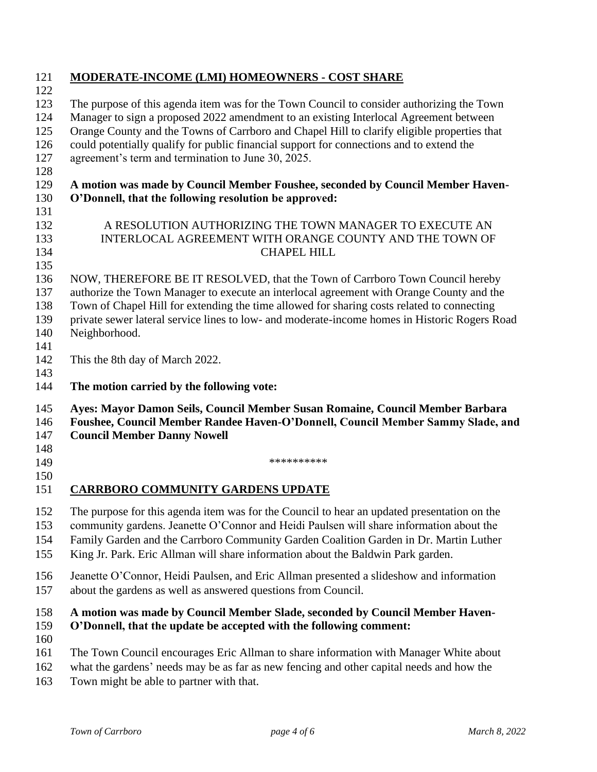| 121                      | <b>MODERATE-INCOME (LMI) HOMEOWNERS - COST SHARE</b>                                                                                                                                                                                                                                                                                                                |  |
|--------------------------|---------------------------------------------------------------------------------------------------------------------------------------------------------------------------------------------------------------------------------------------------------------------------------------------------------------------------------------------------------------------|--|
| 122<br>123               | The purpose of this agenda item was for the Town Council to consider authorizing the Town                                                                                                                                                                                                                                                                           |  |
| 124                      | Manager to sign a proposed 2022 amendment to an existing Interlocal Agreement between                                                                                                                                                                                                                                                                               |  |
| 125                      | Orange County and the Towns of Carrboro and Chapel Hill to clarify eligible properties that                                                                                                                                                                                                                                                                         |  |
| 126                      | could potentially qualify for public financial support for connections and to extend the                                                                                                                                                                                                                                                                            |  |
| 127                      | agreement's term and termination to June 30, 2025.                                                                                                                                                                                                                                                                                                                  |  |
| 128                      |                                                                                                                                                                                                                                                                                                                                                                     |  |
| 129                      | A motion was made by Council Member Foushee, seconded by Council Member Haven-                                                                                                                                                                                                                                                                                      |  |
| 130                      | O'Donnell, that the following resolution be approved:                                                                                                                                                                                                                                                                                                               |  |
| 131                      |                                                                                                                                                                                                                                                                                                                                                                     |  |
| 132                      | A RESOLUTION AUTHORIZING THE TOWN MANAGER TO EXECUTE AN                                                                                                                                                                                                                                                                                                             |  |
| 133                      | INTERLOCAL AGREEMENT WITH ORANGE COUNTY AND THE TOWN OF                                                                                                                                                                                                                                                                                                             |  |
| 134                      | <b>CHAPEL HILL</b>                                                                                                                                                                                                                                                                                                                                                  |  |
| 135                      |                                                                                                                                                                                                                                                                                                                                                                     |  |
| 136                      | NOW, THEREFORE BE IT RESOLVED, that the Town of Carrboro Town Council hereby                                                                                                                                                                                                                                                                                        |  |
| 137                      | authorize the Town Manager to execute an interlocal agreement with Orange County and the                                                                                                                                                                                                                                                                            |  |
| 138                      | Town of Chapel Hill for extending the time allowed for sharing costs related to connecting                                                                                                                                                                                                                                                                          |  |
| 139                      | private sewer lateral service lines to low- and moderate-income homes in Historic Rogers Road                                                                                                                                                                                                                                                                       |  |
| 140                      | Neighborhood.                                                                                                                                                                                                                                                                                                                                                       |  |
| 141<br>142               |                                                                                                                                                                                                                                                                                                                                                                     |  |
| 143                      | This the 8th day of March 2022.                                                                                                                                                                                                                                                                                                                                     |  |
| 144                      | The motion carried by the following vote:                                                                                                                                                                                                                                                                                                                           |  |
| 145<br>146<br>147        | Ayes: Mayor Damon Seils, Council Member Susan Romaine, Council Member Barbara<br>Foushee, Council Member Randee Haven-O'Donnell, Council Member Sammy Slade, and<br><b>Council Member Danny Nowell</b>                                                                                                                                                              |  |
| 148<br>149               | **********                                                                                                                                                                                                                                                                                                                                                          |  |
| 150                      |                                                                                                                                                                                                                                                                                                                                                                     |  |
| 151                      | <b>CARRBORO COMMUNITY GARDENS UPDATE</b>                                                                                                                                                                                                                                                                                                                            |  |
| 152<br>153<br>154<br>155 | The purpose for this agenda item was for the Council to hear an updated presentation on the<br>community gardens. Jeanette O'Connor and Heidi Paulsen will share information about the<br>Family Garden and the Carrboro Community Garden Coalition Garden in Dr. Martin Luther<br>King Jr. Park. Eric Allman will share information about the Baldwin Park garden. |  |
| 156<br>157               | Jeanette O'Connor, Heidi Paulsen, and Eric Allman presented a slideshow and information<br>about the gardens as well as answered questions from Council.                                                                                                                                                                                                            |  |
| 158<br>159               | A motion was made by Council Member Slade, seconded by Council Member Haven-<br>O'Donnell, that the update be accepted with the following comment:                                                                                                                                                                                                                  |  |
| 160<br>161<br>162<br>163 | The Town Council encourages Eric Allman to share information with Manager White about<br>what the gardens' needs may be as far as new fencing and other capital needs and how the<br>Town might be able to partner with that.                                                                                                                                       |  |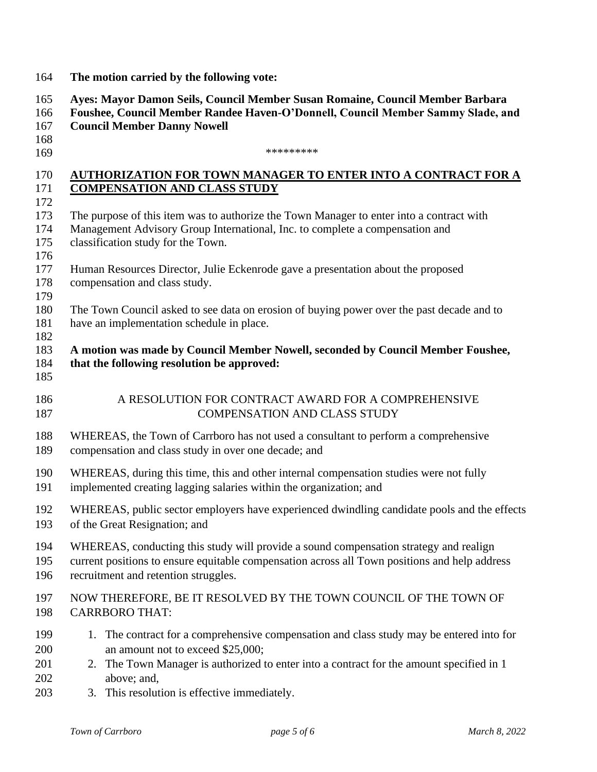| 164                                                                                                   | The motion carried by the following vote:                                                                                                                                                                                                                                                                                                                                                                                                                                                                                                                                                                                                                                                                                     |  |  |  |
|-------------------------------------------------------------------------------------------------------|-------------------------------------------------------------------------------------------------------------------------------------------------------------------------------------------------------------------------------------------------------------------------------------------------------------------------------------------------------------------------------------------------------------------------------------------------------------------------------------------------------------------------------------------------------------------------------------------------------------------------------------------------------------------------------------------------------------------------------|--|--|--|
| 165<br>166<br>167<br>168                                                                              | Ayes: Mayor Damon Seils, Council Member Susan Romaine, Council Member Barbara<br>Foushee, Council Member Randee Haven-O'Donnell, Council Member Sammy Slade, and<br><b>Council Member Danny Nowell</b>                                                                                                                                                                                                                                                                                                                                                                                                                                                                                                                        |  |  |  |
| 169                                                                                                   | *********                                                                                                                                                                                                                                                                                                                                                                                                                                                                                                                                                                                                                                                                                                                     |  |  |  |
| 170<br>171<br>172<br>173<br>174<br>175<br>176<br>177<br>178<br>179<br>180<br>181<br>182<br>183<br>184 | <b>AUTHORIZATION FOR TOWN MANAGER TO ENTER INTO A CONTRACT FOR A</b><br><b>COMPENSATION AND CLASS STUDY</b><br>The purpose of this item was to authorize the Town Manager to enter into a contract with<br>Management Advisory Group International, Inc. to complete a compensation and<br>classification study for the Town.<br>Human Resources Director, Julie Eckenrode gave a presentation about the proposed<br>compensation and class study.<br>The Town Council asked to see data on erosion of buying power over the past decade and to<br>have an implementation schedule in place.<br>A motion was made by Council Member Nowell, seconded by Council Member Foushee,<br>that the following resolution be approved: |  |  |  |
| 185<br>186<br>187                                                                                     | A RESOLUTION FOR CONTRACT AWARD FOR A COMPREHENSIVE<br><b>COMPENSATION AND CLASS STUDY</b>                                                                                                                                                                                                                                                                                                                                                                                                                                                                                                                                                                                                                                    |  |  |  |
| 188<br>189                                                                                            | WHEREAS, the Town of Carrboro has not used a consultant to perform a comprehensive<br>compensation and class study in over one decade; and                                                                                                                                                                                                                                                                                                                                                                                                                                                                                                                                                                                    |  |  |  |
| 190<br>191                                                                                            | WHEREAS, during this time, this and other internal compensation studies were not fully<br>implemented creating lagging salaries within the organization; and                                                                                                                                                                                                                                                                                                                                                                                                                                                                                                                                                                  |  |  |  |
| 192<br>193                                                                                            | WHEREAS, public sector employers have experienced dwindling candidate pools and the effects<br>of the Great Resignation; and                                                                                                                                                                                                                                                                                                                                                                                                                                                                                                                                                                                                  |  |  |  |
| 194<br>195<br>196                                                                                     | WHEREAS, conducting this study will provide a sound compensation strategy and realign<br>current positions to ensure equitable compensation across all Town positions and help address<br>recruitment and retention struggles.                                                                                                                                                                                                                                                                                                                                                                                                                                                                                                |  |  |  |
| 197<br>198                                                                                            | NOW THEREFORE, BE IT RESOLVED BY THE TOWN COUNCIL OF THE TOWN OF<br><b>CARRBORO THAT:</b>                                                                                                                                                                                                                                                                                                                                                                                                                                                                                                                                                                                                                                     |  |  |  |
| 199<br>200<br>201<br>202<br>203                                                                       | 1. The contract for a comprehensive compensation and class study may be entered into for<br>an amount not to exceed \$25,000;<br>The Town Manager is authorized to enter into a contract for the amount specified in 1<br>2.<br>above; and,<br>3. This resolution is effective immediately.                                                                                                                                                                                                                                                                                                                                                                                                                                   |  |  |  |